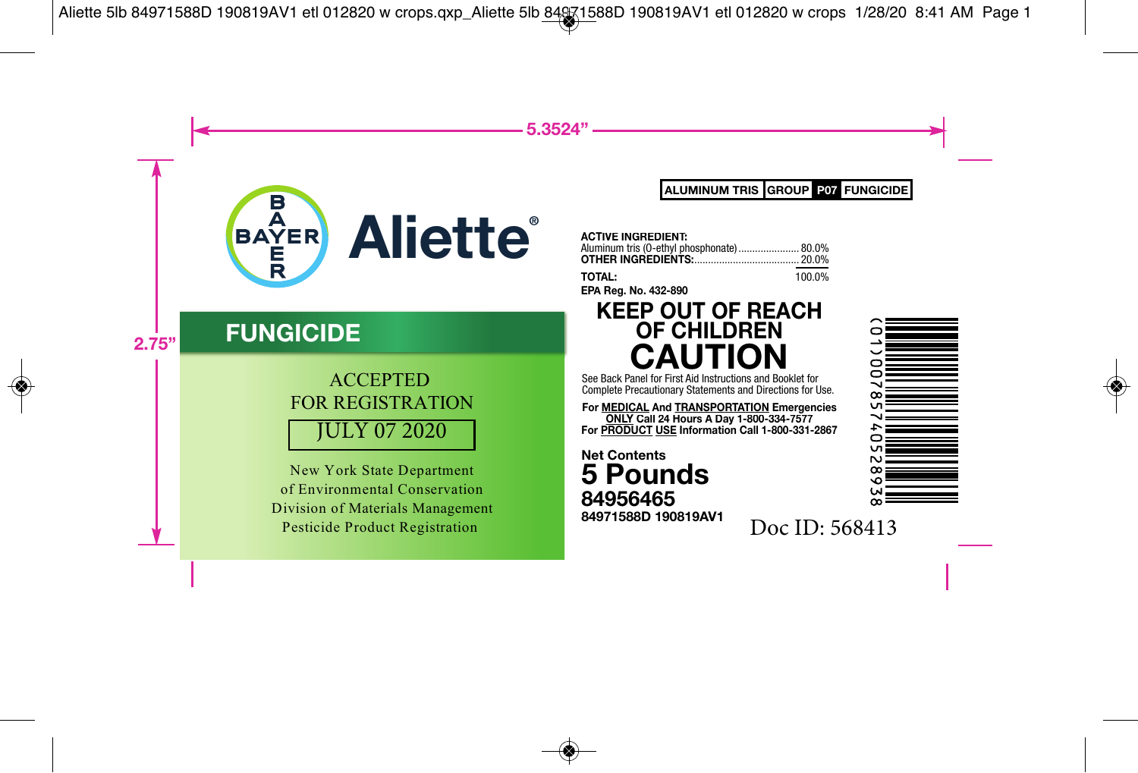

## **FUNGICIDE**

### JULY 07 2020 ACCEPTED FOR REGISTRATION

New York State Department of Environmental Conservation Division of Materials Management Pesticide Product Registration

**ALUMINUM TRIS FUNGICIDE GROUP P07**

**EP Reg. No. 432-890 TOT TA ACT IVE INGREDIENT** ACTIVE INGREDIENT:<br>Aluminum tris (0-ethyl phosphonate)...................... 80.0% **OT H HER INGREDIENTS:**...................................... 20.0% **AL:** 100.0%

## **PA K KEEP OUT OF REACH OF CHILDREN CAUTION**

See B Back Panel for First Aid Instructions and Booklet for Com plete Precautionary Statements and Directions for Use.

**For <u>MEDICAL</u> And TRANSPORTATION</u> Emergencies For P ONLY Call 24 Hours A Day 1-800-334-7577 PRODUCT USE Information Call 1-800-331-2867**

**5 Pounds Ne t t Contents 971588D 190819A AV1 84 9 4956465 8 4**

 $\infty$ ന **LN** 

Doc ID: 568413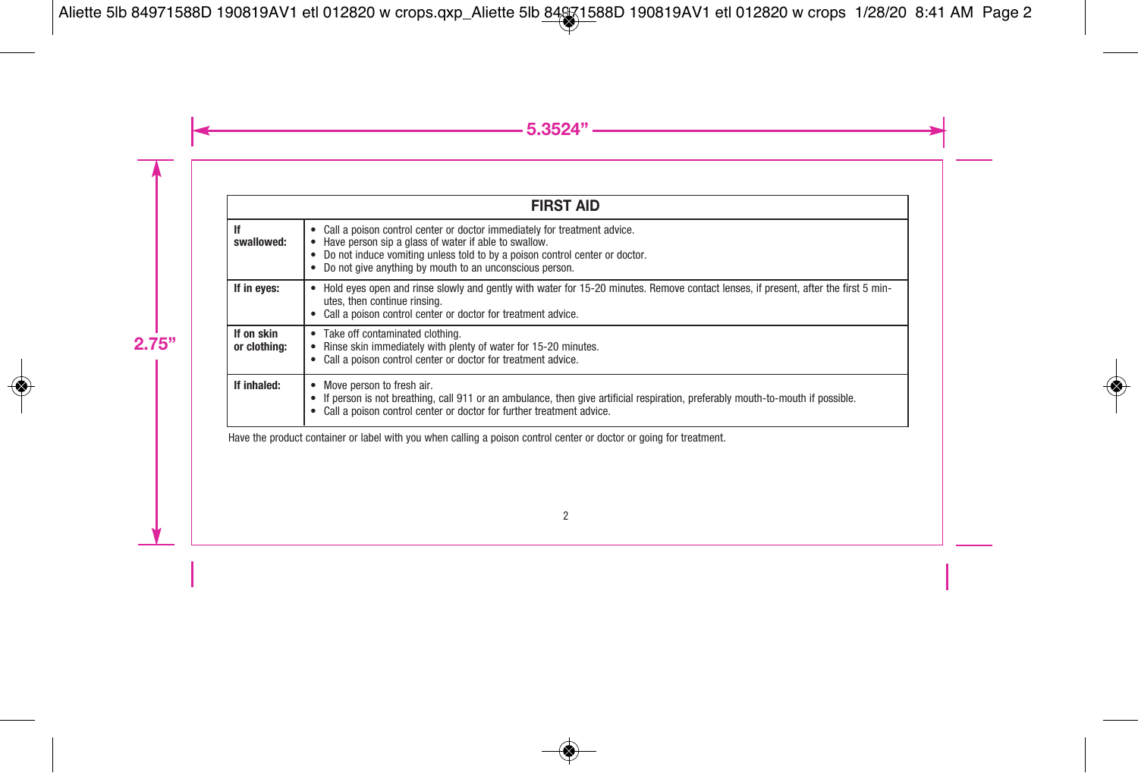|                            | <b>FIRST AID</b>                                                                                                                                                                                                                                                                       |
|----------------------------|----------------------------------------------------------------------------------------------------------------------------------------------------------------------------------------------------------------------------------------------------------------------------------------|
| lf<br>swallowed:           | • Call a poison control center or doctor immediately for treatment advice.<br>Have person sip a glass of water if able to swallow.<br>Do not induce vomiting unless told to by a poison control center or doctor.<br>٠<br>Do not give anything by mouth to an unconscious person.<br>٠ |
| If in eyes:                | Hold eyes open and rinse slowly and gently with water for 15-20 minutes. Remove contact lenses, if present, after the first 5 min-<br>٠<br>utes, then continue rinsing.<br>Call a poison control center or doctor for treatment advice.<br>٠                                           |
| If on skin<br>or clothing: | Take off contaminated clothing.<br>$\bullet$<br>Rinse skin immediately with plenty of water for 15-20 minutes.<br>٠<br>Call a poison control center or doctor for treatment advice.<br>٠                                                                                               |
| If inhaled:                | Move person to fresh air.<br>٠<br>• If person is not breathing, call 911 or an ambulance, then give artificial respiration, preferably mouth-to-mouth if possible.<br>Call a poison control center or doctor for further treatment advice.                                             |

Have the product container or label with you when calling a poison control center or doctor or going for treatment.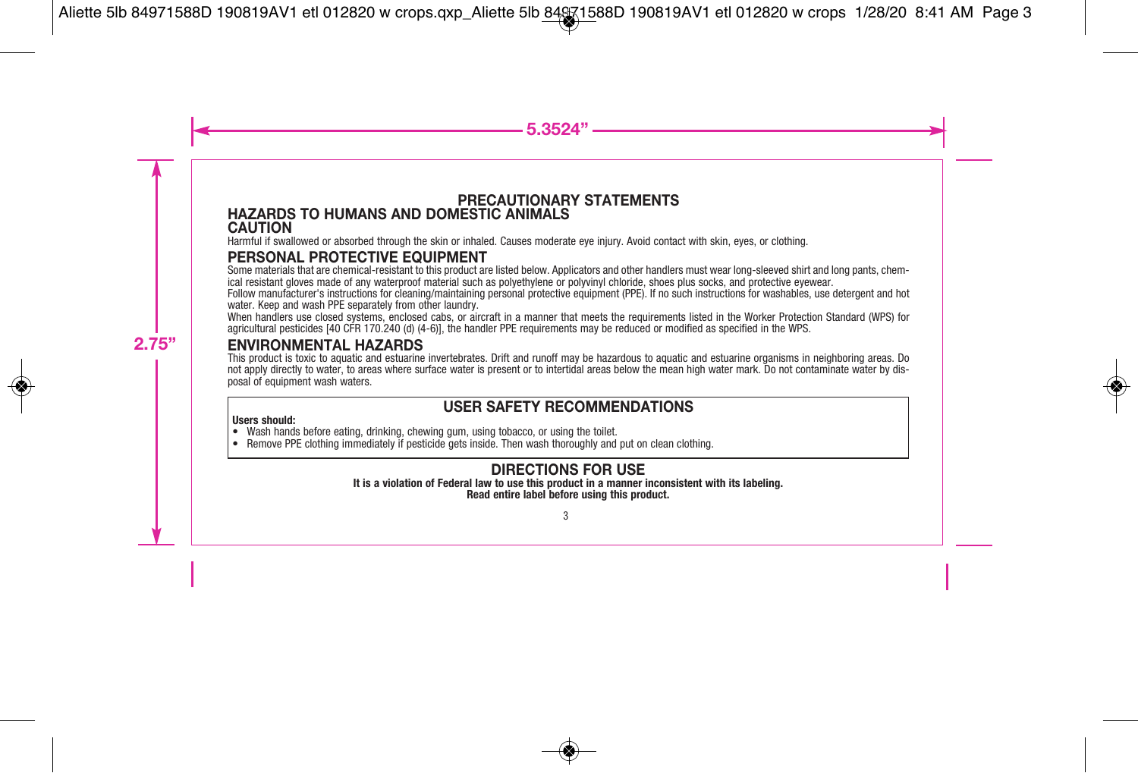#### **PRECAUTIONARY STATEMENTS HAZARDS TO HUMANS AND DOMESTIC ANIMALS CAUTION**

Harmful if swallowed or absorbed through the skin or inhaled. Causes moderate eye injury. Avoid contact with skin, eyes, or clothing.

#### **PERSONAL PROTECTIVE EQUIPMENT**

Some materials that are chemical-resistant to this product are listed below. Applicators and other handlers must wear long-sleeved shirt and long pants, chemical resistant gloves made of any waterproof material such as polyethylene or polyvinyl chloride, shoes plus socks, and protective eyewear.

Follow manufacturer's instructions for cleaning/maintaining personal protective equipment (PPE). If no such instructions for washables, use detergent and hot water. Keep and wash PPE separately from other laundry.

When handlers use closed systems, enclosed cabs, or aircraft in a manner that meets the requirements listed in the Worker Protection Standard (WPS) for agricultural pesticides [40 CFR 170.240 (d) (4-6)], the handler PPE requirements may be reduced or modified as specified in the WPS.

#### **ENVIRONMENTAL HAZARDS**

This product is toxic to aquatic and estuarine invertebrates. Drift and runoff may be hazardous to aquatic and estuarine organisms in neighboring areas. Do not apply directly to water, to areas where surface water is present or to intertidal areas below the mean high water mark. Do not contaminate water by dis-<br>posal of equipment wash waters.

#### **USER SAFETY RECOMMENDATIONS**

- Users should:<br>• Wash hands before eating, drinking, chewing gum, using tobacco, or using the toilet.
- Remove PPE clothing immediately if pesticide gets inside. Then wash thoroughly and put on clean clothing.

#### **DIRECTIONS FOR USE**

**It is a violation of Federal law to use this product in a manner inconsistent with its labeling.**

**Read entire label before using this product.**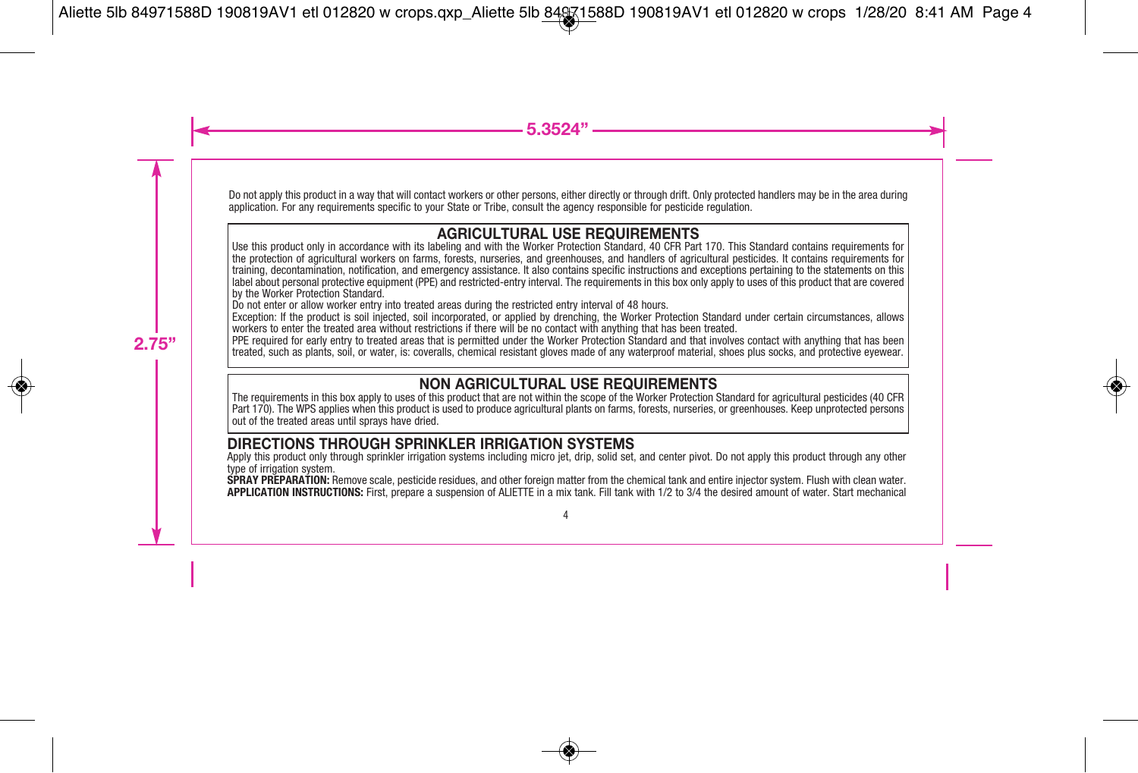Do not apply this product in a way that will contact workers or other persons, either directly or through drift. Only protected handlers may be in the area during application. For any requirements specific to your State or Tribe, consult the agency responsible for pesticide regulation.

#### **AGRICULTURAL USE REQUIREMENTS**

Use this product only in accordance with its labeling and with the Worker Protection Standard, 40 CFR Part 170. This Standard contains requirements for the protection of agricultural workers on farms, forests, nurseries, and greenhouses, and handlers of agricultural pesticides. It contains requirements for training, decontamination, notification, and emergency assistance. It also contains specific instructions and exceptions pertaining to the statements on this label about personal protective equipment (PPE) and restricted-entry interval. The requirements in this box only apply to uses of this product that are covered by the Worker Protection Standard.

Do not enter or allow worker entry into treated areas during the restricted entry interval of 48 hours.

Exception: If the product is soil injected, soil incorporated, or applied by drenching, the Worker Protection Standard under certain circumstances, allows workers to enter the treated area without restrictions if there will be no contact with anything that has been treated.

PPE required for early entry to treated areas that is permitted under the Worker Protection Standard and that involves contact with anything that has been treated, such as plants, soil, or water, is: coveralls, chemical resistant gloves made of any waterproof material, shoes plus socks, and protective eyewear.

#### **NON AGRICULTURAL USE REQUIREMENTS**

The requirements in this box apply to uses of this product that are not within the scope of the Worker Protection Standard for agricultural pesticides (40 CFR Part 170). The WPS applies when this product is used to produce agricultural plants on farms, forests, nurseries, or greenhouses. Keep unprotected persons out of the treated areas until sprays have dried.

#### **DIRECTIONS THROUGH SPRINKLER IRRIGATION SYSTEMS**

Apply this product only through sprinkler irrigation systems including micro jet, drip, solid set, and center pivot. Do not apply this product through any other type of irrigation system.<br>SPRAY PREPARATION: Remove scale, pesticide residues, and other foreign matter from the chemical tank and entire injector system. Flush with clean water.

APPLICATION INSTRUCTIONS: First, prepare a suspension of ALIETTE in a mix tank. Fill tank with 1/2 to 3/4 the desired amount of water. Start mechanical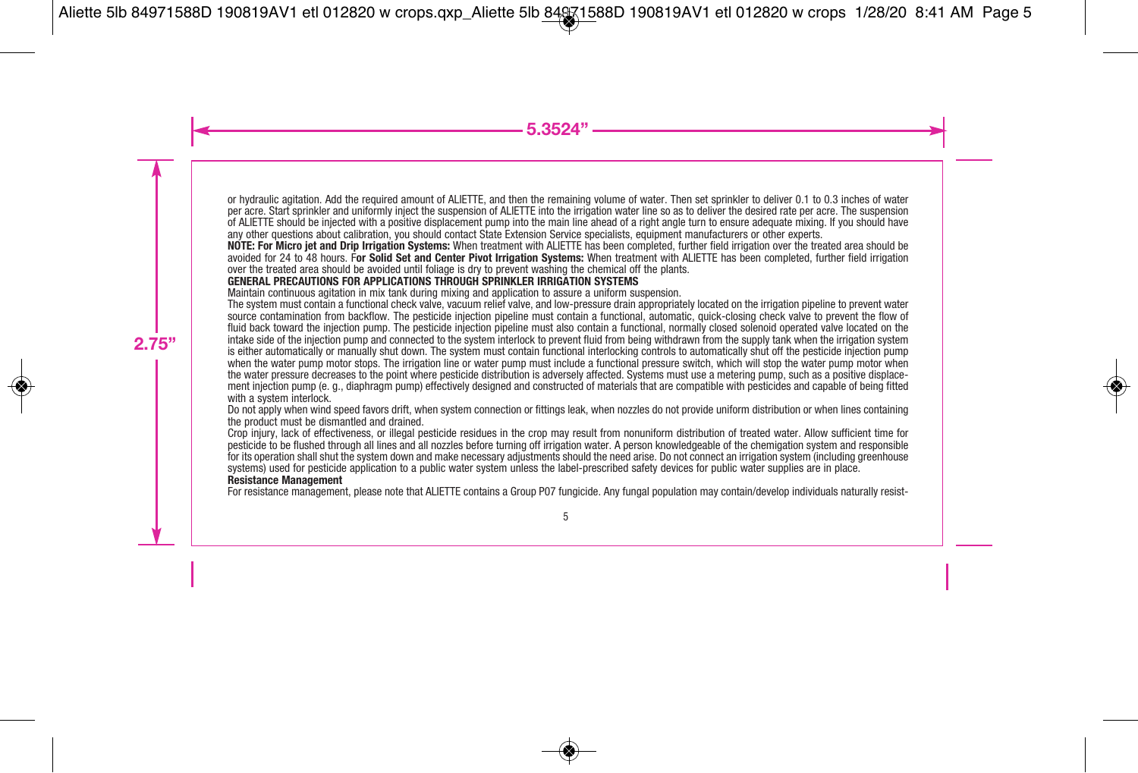or hydraulic agitation. Add the required amount of ALIETTE, and then the remaining volume of water. Then set sprinkler to deliver 0.1 to 0.3 inches of water per acre. Start sprinkler and uniformly inject the suspension of ALIETTE into the irrigation water line so as to deliver the desired rate per acre. The suspension of ALIETTE should be injected with a positive displacement pump into the main line ahead of a right angle turn to ensure adequate mixing. If you should have any other questions about calibration, you should contact State Extension Service specialists, equipment manufacturers or other experts.

**NOTE: For Micro jet and Drip Irrigation Systems:** When treatment with ALIETTE has been completed, further field irrigation over the treated area should be avoided for 24 to 48 hours. F**or Solid Set and Center Pivot Irrigation Systems:** When treatment with ALIETTE has been completed, further field irrigation over the treated area should be avoided until foliage is dry to prevent washing the chemical off the plants.

#### **GENERAL PRECAUTIONS FOR APPLICATIONS THROUGH SPRINKLER IRRIGATION SYSTEMS**

Maintain continuous agitation in mix tank during mixing and application to assure a uniform suspension.

The system must contain a functional check valve, vacuum relief valve, and low-pressure drain appropriately located on the irrigation pipeline to prevent water source contamination from backflow. The pesticide injection pipeline must contain a functional, automatic, quick-closing check valve to prevent the flow of fluid back toward the injection pump. The pesticide injection pipeline must also contain a functional, normally closed solenoid operated valve located on the intake side of the injection pump and connected to the system interlock to prevent fluid from being withdrawn from the supply tank when the irrigation system is either automatically or manually shut down. The system must contain functional interlocking controls to automatically shut off the pesticide injection pump when the water pump motor stops. The irrigation line or water pump must include a functional pressure switch, which will stop the water pump motor when the water pressure decreases to the point where pesticide distribution is adversely affected. Systems must use a metering pump, such as a positive displacement injection pump (e. g., diaphragm pump) effectively designed and constructed of materials that are compatible with pesticides and capable of being fitted with a system interlock.

Do not apply when wind speed favors drift, when system connection or fittings leak, when nozzles do not provide uniform distribution or when lines containing the product must be dismantled and drained.

Crop injury, lack of effectiveness, or illegal pesticide residues in the crop may result from nonuniform distribution of treated water. Allow sufficient time for pesticide to be flushed through all lines and all nozzles before turning off irrigation water. A person knowledgeable of the chemigation system and responsible for its operation shall shut the system down and make necessary adjustments should the need arise. Do not connect an irrigation system (including greenhouse systems) used for pesticide application to a public water system unless the label-prescribed safety devices for public water supplies are in place. **Resistance Management**

For resistance management, please note that ALIETTE contains a Group P07 fungicide. Any fungal population may contain/develop individuals naturally resist-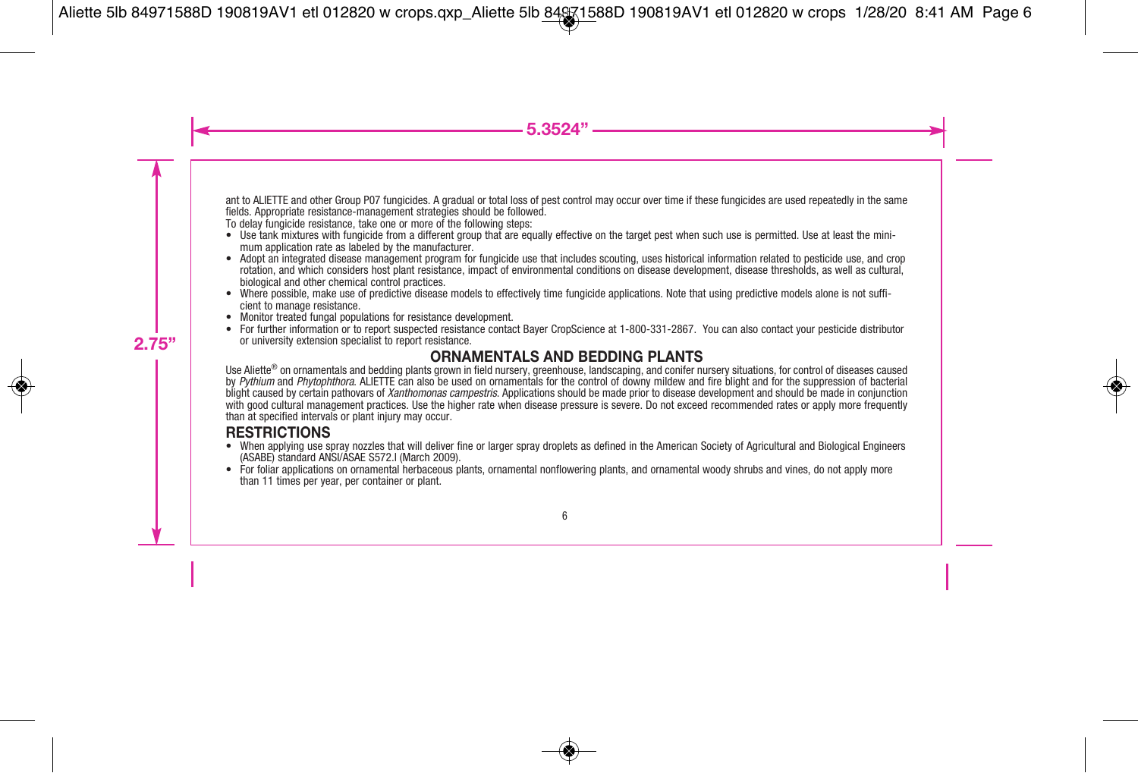ant to ALIETTE and other Group P07 fungicides. A gradual or total loss of pest control may occur over time if these fungicides are used repeatedly in the same fields. Appropriate resistance-management strategies should be followed.

To delay fungicide resistance, take one or more of the following steps:

- Use tank mixtures with fungicide from a different group that are equally effective on the target pest when such use is permitted. Use at least the minimum application rate as labeled by the manufacturer.
- Adopt an integrated disease management program for fungicide use that includes scouting, uses historical information related to pesticide use, and crop rotation, and which considers host plant resistance, impact of environmental conditions on disease development, disease thresholds, as well as cultural,
- Where possible, make use of predictive disease models to effectively time fungicide applications. Note that using predictive models alone is not sufficient to manage resistance.<br>
Monitor treated fungal populations for
- 
- or university extension specialist to report resistance.

#### **ORNAMENTALS AND BEDDING PLANTS**

Use Aliette® on ornamentals and bedding plants grown in field nursery, greenhouse, landscaping, and conifer nursery situations, for control of diseases caused by Pythium and Phytophthora. ALIETTE can also be used on ornamentals for the control of downy mildew and fire blight and for the suppression of bacterial blight caused by certain pathovars of Xanthomonas campestris. Applications should be made prior to disease development and should be made in conjunction with good cultural management practices. Use the higher rate when disease pressure is severe. Do not exceed recommended rates or apply more frequently than at specified intervals or plant injury may occur.

#### **RESTRICTIONS**

- When applying use spray nozzles that will deliver fine or larger spray droplets as defined in the American Society of Agricultural and Biological Engineers (ASABE) standard ANSI/ASAE S572.l (March 2009).
- For foliar applications on ornamental herbaceous plants, ornamental nonflowering plants, and ornamental woody shrubs and vines, do not apply more than 11 times per year, per container or plant.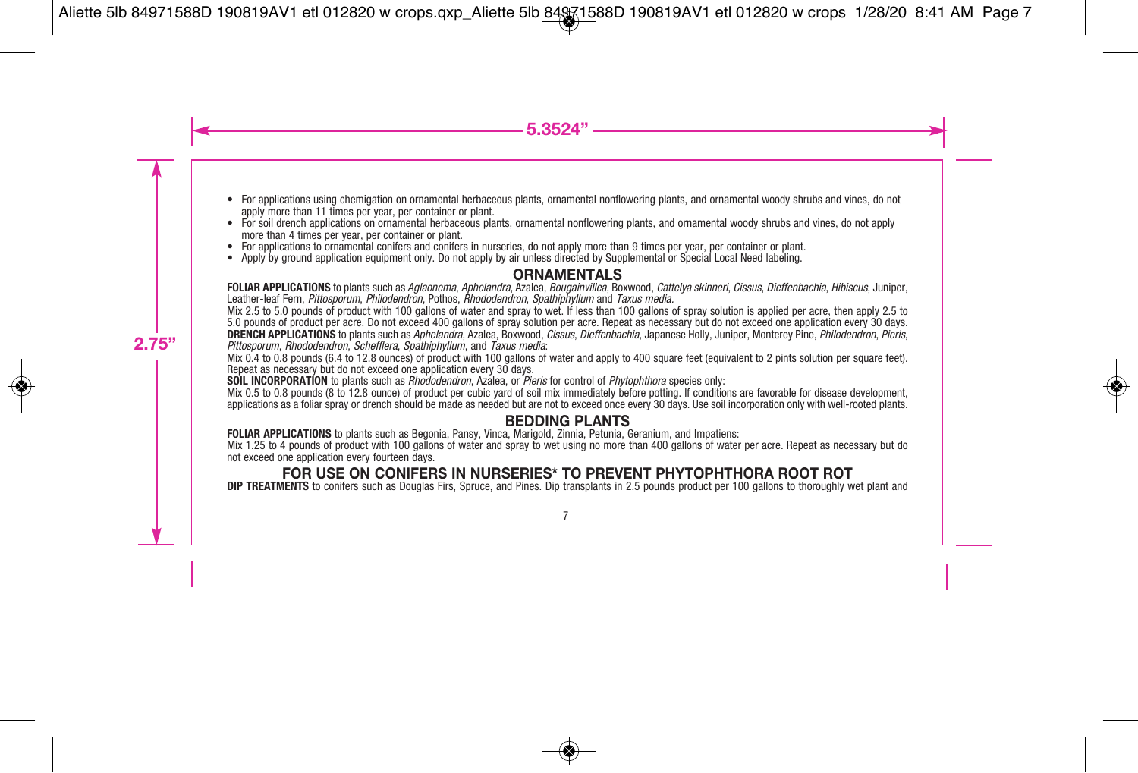- For applications using chemigation on ornamental herbaceous plants, ornamental nonflowering plants, and ornamental woody shrubs and vines, do not apply more than 11 times per year, per container or plant.
- For soil drench applications on ornamental herbaceous plants, ornamental nonflowering plants, and ornamental woody shrubs and vines, do not apply more than 4 times per year, per container or plant.
- For applications to ornamental conifers and conifers in nurseries, do not apply more than 9 times per year, per container or plant.
- Apply by ground application equipment only. Do not apply by air unless directed by Supplemental or Special Local Need labeling.

#### **ORNAMENTALS**

**FOLIAR APPLICATIONS** to plants such as Aglaonema, Aphelandra, Azalea, Bougainvillea, Boxwood, Cattelya skinneri, Cissus, Dieffenbachia, Hibiscus, Juniper, Leather-leaf Fern, Pittosporum, Philodendron, Pothos, Rhododendron, Spathiphyllum and Taxus media.

Mix 2.5 to 5.0 pounds of product with 100 gallons of water and spray to wet. If less than 100 gallons of spray solution is applied per acre, then apply 2.5 to 5.0 pounds of product per acre. Do not exceed 400 gallons of spray solution per acre. Repeat as necessary but do not exceed one application every 30 days. **DRENCH APPLICATIONS** to plants such as Aphelandra, Azalea, Boxwood, Cissus, Dieffenbachia, Japanese Holly, Juniper, Monterey Pine, Philodendron, Pieris, Pittosporum, Rhododendron, Schefflera, Spathiphyllum, and Taxus media:

Mix 0.4 to 0.8 pounds (6.4 to 12.8 ounces) of product with 100 gallons of water and apply to 400 square feet (equivalent to 2 pints solution per square feet). Repeat as necessary but do not exceed one application every 30 days.

**SOIL INCORPORATION** to plants such as *Rhododendron*, Azalea, or *Pieris* for control of *Phytophthora* species only:

Mix 0.5 to 0.8 pounds (8 to 12.8 ounce) of product per cubic yard of soil mix immediately before potting. If conditions are favorable for disease development, applications as a foliar spray or drench should be made as needed but are not to exceed once every 30 days. Use soil incorporation only with well-rooted plants.

#### **BEDDING PLANTS**

**FOLIAR APPLICATIONS** to plants such as Begonia, Pansy, Vinca, Marigold, Zinnia, Petunia, Geranium, and Impatiens:

Mix 1.25 to 4 pounds of product with 100 gallons of water and spray to wet using no more than 400 gallons of water per acre. Repeat as necessary but do not exceed one application every fourteen days.

#### **FOR USE ON CONIFERS IN NURSERIES\* TO PREVENT PHYTOPHTHORA ROOT ROT**

**DIP TREATMENTS** to conifers such as Douglas Firs, Spruce, and Pines. Dip transplants in 2.5 pounds product per 100 gallons to thoroughly wet plant and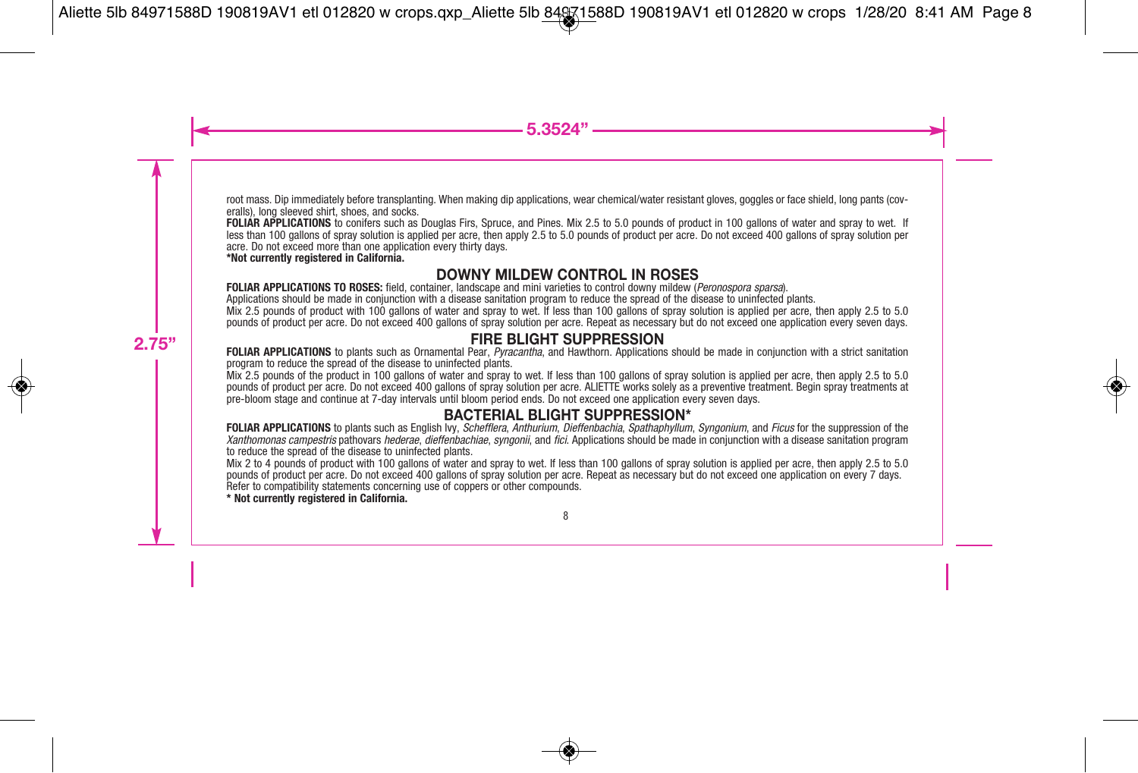root mass. Dip immediately before transplanting. When making dip applications, wear chemical/water resistant gloves, goggles or face shield, long pants (coveralls), long sleeved shirt, shoes, and socks.

**FOLIAR APPLICATIONS** to conifers such as Douglas Firs, Spruce, and Pines. Mix 2.5 to 5.0 pounds of product in 100 gallons of water and spray to wet. If less than 100 gallons of spray solution is applied per acre, then apply 2.5 to 5.0 pounds of product per acre. Do not exceed 400 gallons of spray solution per acre. Do not exceed more than one application every thirty days.

**\*Not currently registered in California.**

#### **DOWNY MILDEW CONTROL IN ROSES**

**FOLIAR APPLICATIONS TO ROSES:** field, container, landscape and mini varieties to control downy mildew (Peronospora sparsa).

Applications should be made in conjunction with a disease sanitation program to reduce the spread of the disease to uninfected plants.

Mix 2.5 pounds of product with 100 gallons of water and spray to wet. If less than 100 gallons of spray solution is applied per acre, then apply 2.5 to 5.0 pounds of product per acre. Do not exceed 400 gallons of spray solution per acre. Repeat as necessary but do not exceed one application every seven days.

#### **FIRE BLIGHT SUPPRESSION**

**FOLIAR APPLICATIONS** to plants such as Ornamental Pear, *Pyracantha*, and Hawthorn. Applications should be made in conjunction with a strict sanitation program to reduce the spread of the disease to uninfected plants.

Mix 2.5 pounds of the product in 100 gallons of water and spray to wet. If less than 100 gallons of spray solution is applied per acre, then apply 2.5 to 5.0 pounds of product per acre. Do not exceed 400 gallons of spray solution per acre. ALIETTE works solely as a preventive treatment. Begin spray treatments at pre-bloom stage and continue at 7-day intervals until bloom period ends. Do not exceed one application every seven days.

#### **BACTERIAL BLIGHT SUPPRESSION\***

**FOLIAR APPLICATIONS** to plants such as English Ivy, Schefflera, Anthurium, Dieffenbachia, Spathaphyllum, Syngonium, and Ficus for the suppression of the Xanthomonas campestris pathovars hederae, dieffenbachiae, syngonii, and fici. Applications should be made in conjunction with a disease sanitation program to reduce the spread of the disease to uninfected plants.

Mix 2 to 4 pounds of product with 100 gallons of water and spray to wet. If less than 100 gallons of spray solution is applied per acre, then apply 2.5 to 5.0 pounds of product per acre. Do not exceed 400 gallons of spray solution per acre. Repeat as necessary but do not exceed one application on every 7 days. Refer to compatibility statements concerning use of coppers or other compounds.

**\* Not currently registered in California.**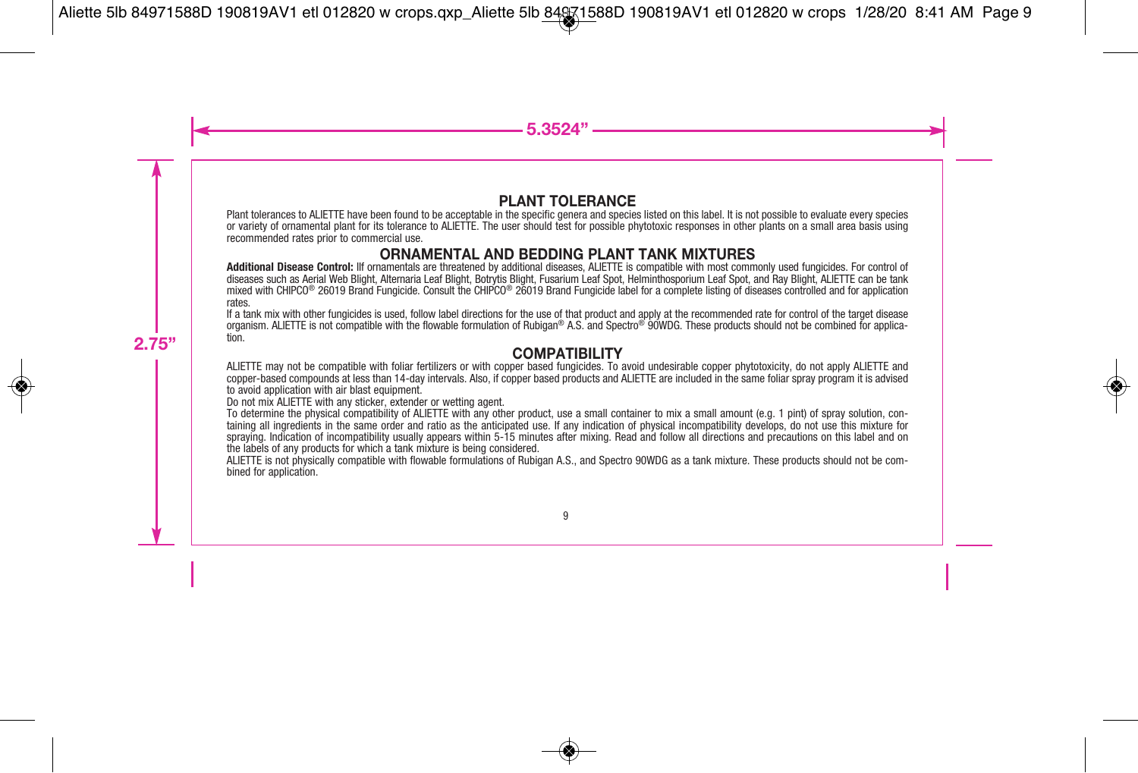#### **PLANT TOLERANCE**

Plant tolerances to ALIETTE have been found to be acceptable in the specific genera and species listed on this label. It is not possible to evaluate every species or variety of ornamental plant for its tolerance to ALIETTE. The user should test for possible phytotoxic responses in other plants on a small area basis using recommended rates prior to commercial use.

#### **ORNAMENTAL AND BEDDING PLANT TANK MIXTURES**

Additional Disease Control: IIf ornamentals are threatened by additional diseases, ALIETTE is compatible with most commonly used fungicides. For control of diseases such as Aerial Web Blight, ALIETTE can be tank mixed with CHIPCO® 26019 Brand Fungicide. Consult the CHIPCO® 26019 Brand Fungicide label for a complete listing of diseases controlled and for application

If a tank mix with other fungicides is used, follow label directions for the use of that product and apply at the recommended rate for control of the target disease organism. ALIETTE is not compatible with the flowable formulation of Rubigan® A.S. and Spectro<sup>®</sup> 90WDG. These products should not be combined for applica-<br>tion.

#### **COMPATIBILITY**

ALIETTE may not be compatible with foliar fertilizers or with copper based fungicides. To avoid undesirable copper phytotoxicity, do not apply ALIETTE and copper-based compounds at less than 14-day intervals. Also, if copper based products and ALIETTE are included in the same foliar spray program it is advised to avoid application with air blast equipment.

Do not mix ALIETTE with any sticker, extender or wetting agent.<br>To determine the physical compatibility of ALIETTE with any other product, use a small container to mix a small amount (e.g. 1 pint) of spray solution, containing all ingredients in the same order and ratio as the anticipated use. If any indication of physical incompatibility develops, do not use this mixture for spraying. Indication of incompatibility usually appears within 5-15 minutes after mixing. Read and follow all directions and precautions on this label and on<br>the labels of any products for which a tank mixture is being con

ALIETTE is not physically compatible with flowable formulations of Rubigan A.S., and Spectro 90WDG as a tank mixture. These products should not be com-<br>bined for application.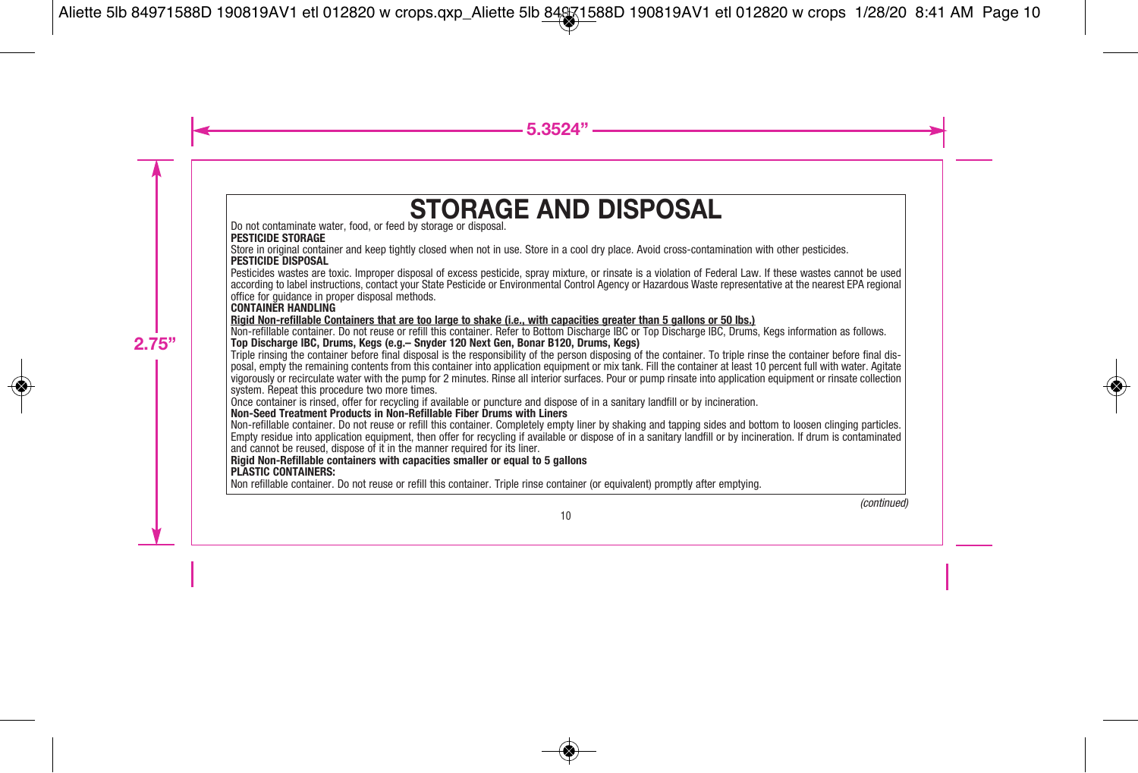## **STORAGE AND DISPOSAL**

Do not contaminate water, food, or feed by storage or disposal.

#### **PESTICIDE STORAGE**

Store in original container and keep tightly closed when not in use. Store in a cool dry place. Avoid cross-contamination with other pesticides. **PESTICIDE DISPOSAL**

Pesticides wastes are toxic. Improper disposal of excess pesticide, spray mixture, or rinsate is a violation of Federal Law. If these wastes cannot be used according to label instructions, contact your State Pesticide or Environmental Control Agency or Hazardous Waste representative at the nearest EPA regional office for guidance in proper disposal methods.

#### **CONTAINER HANDLING**

**Rigid Non-refillable Containers that are too large to shake (i.e., with capacities greater than 5 gallons or 50 lbs.)**

Non-refillable container. Do not reuse or refill this container. Refer to Bottom Discharge IBC or Top Discharge IBC, Drums, Kegs information as follows. **Top Discharge IBC, Drums, Kegs (e.g.– Snyder 120 Next Gen, Bonar B120, Drums, Kegs)**

Triple rinsing the container before final disposal is the responsibility of the person disposing of the container. To triple rinse the container before final disposal, empty the remaining contents from this container into application equipment or mix tank. Fill the container at least 10 percent full with water. Agitate vigorously or recirculate water with the pump for 2 minutes. Rinse all interior surfaces. Pour or pump rinsate into application equipment or rinsate collection system. Repeat this procedure two more times.

Once container is rinsed, offer for recycling if available or puncture and dispose of in a sanitary landfill or by incineration. **Non-Seed Treatment Products in Non-Refillable Fiber Drums with Liners**

Non-refillable container. Do not reuse or refill this container. Completely empty liner by shaking and tapping sides and bottom to loosen clinging particles. Empty residue into application equipment, then offer for recycling if available or dispose of in a sanitary landfill or by incineration. If drum is contaminated and cannot be reused, dispose of it in the manner required for its liner.

#### **Rigid Non-Refillable containers with capacities smaller or equal to 5 gallons**

#### **PLASTIC CONTAINERS:**

Non refillable container. Do not reuse or refill this container. Triple rinse container (or equivalent) promptly after emptying.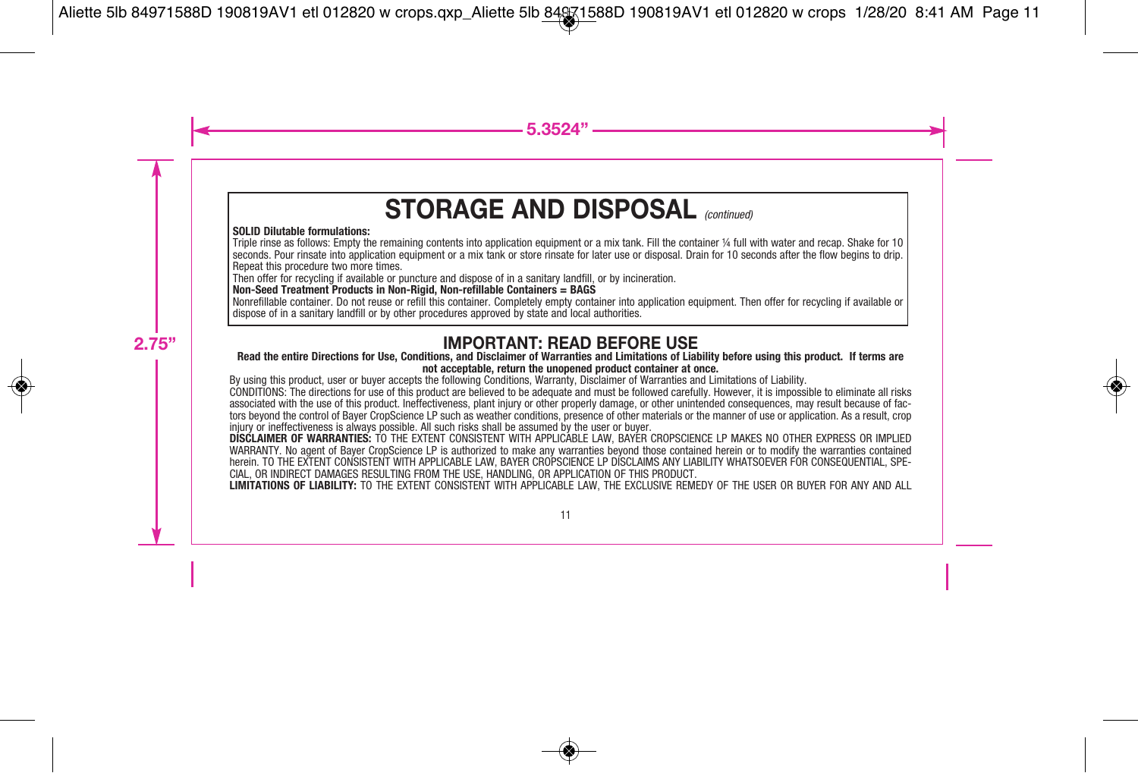## **STORAGE AND DISPOSAL** (continued)

#### **SOLID Dilutable formulations:**

Triple rinse as follows: Empty the remaining contents into application equipment or a mix tank. Fill the container ¼ full with water and recap. Shake for 10 seconds. Pour rinsate into application equipment or a mix tank or store rinsate for later use or disposal. Drain for 10 seconds after the flow begins to drip. Repeat this procedure two more times.

Then offer for recycling if available or puncture and dispose of in a sanitary landfill, or by incineration.

**Non-Seed Treatment Products in Non-Rigid, Non-refillable Containers = BAGS**

Nonrefillable container. Do not reuse or refill this container. Completely empty container into application equipment. Then offer for recycling if available or dispose of in a sanitary landfill or by other procedures approved by state and local authorities.

#### **IMPORTANT: READ BEFORE USE**

#### **Read the entire Directions for Use, Conditions, and Disclaimer of Warranties and Limitations of Liability before using this product. If terms are not acceptable, return the unopened product container at once.**

By using this product, user or buyer accepts the following Conditions, Warranty, Disclaimer of Warranties and Limitations of Liability.

CONDITIONS: The directions for use of this product are believed to be adequate and must be followed carefully. However, it is impossible to eliminate all risks associated with the use of this product. Ineffectiveness, plant injury or other properly damage, or other unintended consequences, may result because of factors beyond the control of Bayer CropScience LP such as weather conditions, presence of other materials or the manner of use or application. As a result, crop injury or ineffectiveness is always possible. All such risks shall be assumed by the user or buyer.

**DISCLAIMER OF WARRANTIES:** TO THE EXTENT CONSISTENT WITH APPLICABLE LAW, BAYER CROPSCIENCE LP MAKES NO OTHER EXPRESS OR IMPLIED WARRANTY. No agent of Bayer CropScience LP is authorized to make any warranties beyond those contained herein or to modify the warranties contained herein. TO THE EXTENT CONSISTENT WITH APPLICABLE LAW, BAYER CROPSCIENCE LP DISCLAIMS ANY LIABILITY WHATSOEVER FOR CONSEQUENTIAL, SPE-CIAL, OR INDIRECT DAMAGES RESULTING FROM THE USE, HANDLING, OR APPLICATION OF THIS PRODUCT.

**LIMITATIONS OF LIABILITY:** TO THE EXTENT CONSISTENT WITH APPLICABLE LAW, THE EXCLUSIVE REMEDY OF THE USER OR BUYER FOR ANY AND ALL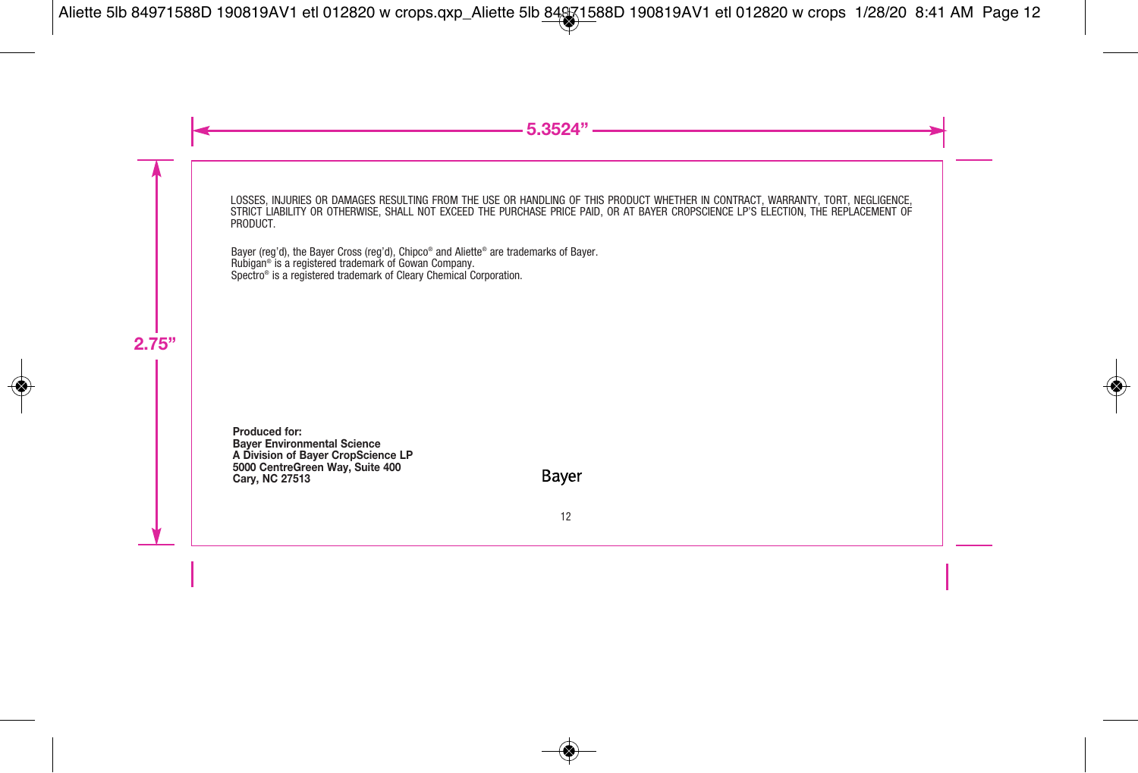LOSSES, INJURIES OR DAMAGES RESULTING FROM THE USE OR HANDLING OF THIS PRODUCT WHETHER IN CONTRACT, WARRANTY, TORT, NEGLIGENCE, STRICT LIABILITY OR OTHERWISE, SHALL NOT EXCEED THE PURCHASE PRICE PAID, OR AT BAYER CROPSCIENCE LP'S ELECTION, THE REPLACEMENT OF<br>PRODUCT

Bayer (reg'd), the Bayer Cross (reg'd), Chipco ® and Aliette ® are trademarks of Bayer. Rubigan ® is a registered trademark of Gowan Company. Spectro ® is a registered trademark of Cleary Chemical Corporation.

**Produced for: Bayer Environmental Science A Division of Bayer CropScience LP 5000 CentreGreen Way, Suite 400 Cary, NC 27513**

Baver